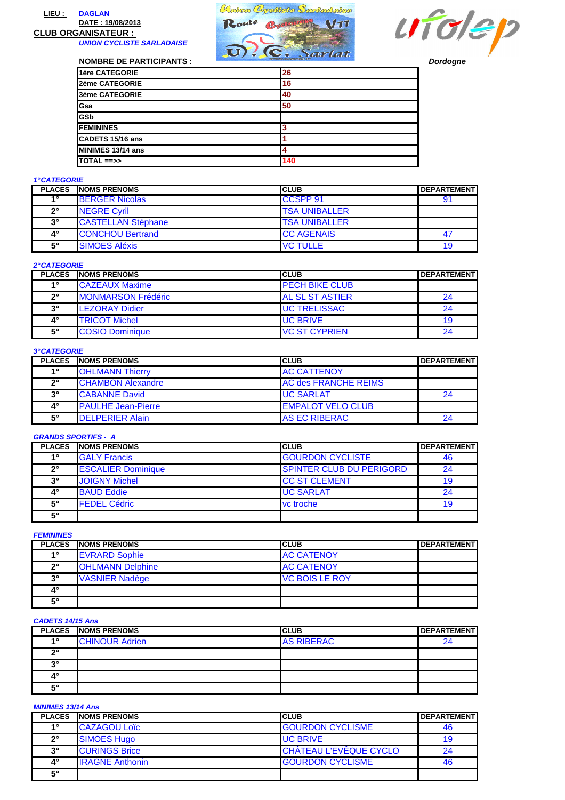# **LIEU : DAGLAN DATE : 19/08/2013**

**CLUB ORGANISATEUR :** 

**UNION CYCLISTE SARLADAISE**





| <b>NOMBRE DE PARTICIPANTS :</b> | $\mathbf{U}$ . (C. Sarlat | Dordogne |
|---------------------------------|---------------------------|----------|
| 1ère CATEGORIE                  | 26                        |          |
| 2ème CATEGORIE                  | 16                        |          |
| <b>3ème CATEGORIE</b>           | 40                        |          |
| Gsa                             | 50                        |          |
| <b>GSb</b>                      |                           |          |
| <b>FEMININES</b>                |                           |          |
| CADETS 15/16 ans                |                           |          |
| MINIMES 13/14 ans               |                           |          |
| $TOTAL \n= >>$                  | 140                       |          |

# **1° CATEGORIE**

| <b>PLACES</b> | <b>NOMS PRENOMS</b>       | <b>CLUB</b>          | <b>DEPARTEMENT</b> |
|---------------|---------------------------|----------------------|--------------------|
| 40            | <b>BERGER Nicolas</b>     | <b>CCSPP 91</b>      | 91                 |
| າ°            | <b>NEGRE Cyril</b>        | <b>TSA UNIBALLER</b> |                    |
| $3^\circ$     | <b>CASTELLAN Stéphane</b> | <b>TSA UNIBALLER</b> |                    |
| $4^{\circ}$   | <b>CONCHOU Bertrand</b>   | <b>CC AGENAIS</b>    | 47                 |
| $5^\circ$     | <b>SIMOES Aléxis</b>      | <b>VC TULLE</b>      | 19                 |

# **2° CATEGORIE**

| <b>PLACES</b> | <b>NOMS PRENOMS</b>       | ICLUB                  | <b>DEPARTEMENT</b> |
|---------------|---------------------------|------------------------|--------------------|
| 40            | <b>CAZEAUX Maxime</b>     | <b>IPECH BIKE CLUB</b> |                    |
| າ∘            | <b>MONMARSON Frédéric</b> | <b>AL SL ST ASTIER</b> | 24                 |
| 20            | <b>LEZORAY Didier</b>     | <b>UC TRELISSAC</b>    | 24                 |
| 4°            | <b>TRICOT Michel</b>      | <b>IUC BRIVE</b>       | 19                 |
| 5°،           | <b>COSIO Dominique</b>    | <b>VC ST CYPRIEN</b>   | 24                 |

#### **3° CATEGORIE**

| <b>PLACES</b> | <b>NOMS PRENOMS</b>       | <b>CLUB</b>                 | <b>DEPARTEMENT</b> |
|---------------|---------------------------|-----------------------------|--------------------|
| 40            | <b>OHLMANN Thierry</b>    | <b>AC CATTENOY</b>          |                    |
| າ°            | <b>CHAMBON Alexandre</b>  | <b>AC des FRANCHE REIMS</b> |                    |
| $3^\circ$     | <b>CABANNE David</b>      | <b>UC SARLAT</b>            | 24                 |
| 4°            | <b>PAULHE Jean-Pierre</b> | <b>EMPALOT VELO CLUB</b>    |                    |
| $5^{\circ}$   | <b>DELPERIER Alain</b>    | <b>AS EC RIBERAC</b>        | 24                 |

# **GRANDS SPORTIFS - A**

| <b>PLACES</b> | <b>INOMS PRENOMS</b>      | <b>CLUB</b>                     | <b>DEPARTEMENT</b> |
|---------------|---------------------------|---------------------------------|--------------------|
| 40            | <b>GALY Francis</b>       | <b>GOURDON CYCLISTE</b>         | 46                 |
| $2^{\circ}$   | <b>ESCALIER Dominique</b> | <b>SPINTER CLUB DU PERIGORD</b> | 24                 |
| ৽৽            | <b>JOIGNY Michel</b>      | <b>CC ST CLEMENT</b>            | 19                 |
| 4°            | <b>BAUD Eddie</b>         | <b>UC SARLAT</b>                | 24                 |
| $5^\circ$     | <b>FEDEL Cédric</b>       | vc troche                       | 19                 |
| $5^{\circ}$   |                           |                                 |                    |

# **FEMININES**

| <b>PLACES</b> | <b>NOMS PRENOMS</b>     | <b>CLUB</b>           | <b>DEPARTEMENT</b> |
|---------------|-------------------------|-----------------------|--------------------|
| 40            | <b>EVRARD Sophie</b>    | <b>AC CATENOY</b>     |                    |
| າ∘            | <b>OHLMANN Delphine</b> | <b>AC CATENOY</b>     |                    |
| $3^\circ$     | <b>VASNIER Nadège</b>   | <b>VC BOIS LE ROY</b> |                    |
| 4°            |                         |                       |                    |
| 5°،           |                         |                       |                    |

# **CADETS 14/15 Ans**

| <b>PLACES</b> | NOMS PRENOMS          | <b>CLUB</b>       | <b>DEPARTEMENT</b> |
|---------------|-----------------------|-------------------|--------------------|
| <b>40</b>     | <b>CHINOUR Adrien</b> | <b>AS RIBERAC</b> | 24                 |
| nº            |                       |                   |                    |
| າ             |                       |                   |                    |
| Æ۰            |                       |                   |                    |
| <b>E</b> o    |                       |                   |                    |

# **MINIMES 13/14 Ans**

| <b>PLACES</b> | <b>INOMS PRENOMS</b>   | <b>ICLUB</b>            | <b>DEPARTEMENT</b> |
|---------------|------------------------|-------------------------|--------------------|
| 4.            | <b>CAZAGOU Loïc</b>    | <b>GOURDON CYCLISME</b> | 46                 |
| າ∘            | <b>SIMOES Hugo</b>     | <b>UC BRIVE</b>         | 19                 |
| 20            | <b>CURINGS Brice</b>   | CHÂTEAU L'EVÊQUE CYCLO  | 24                 |
| 4۰            | <b>IRAGNE Anthonin</b> | <b>GOURDON CYCLISME</b> | 46                 |
| $5^\circ$     |                        |                         |                    |